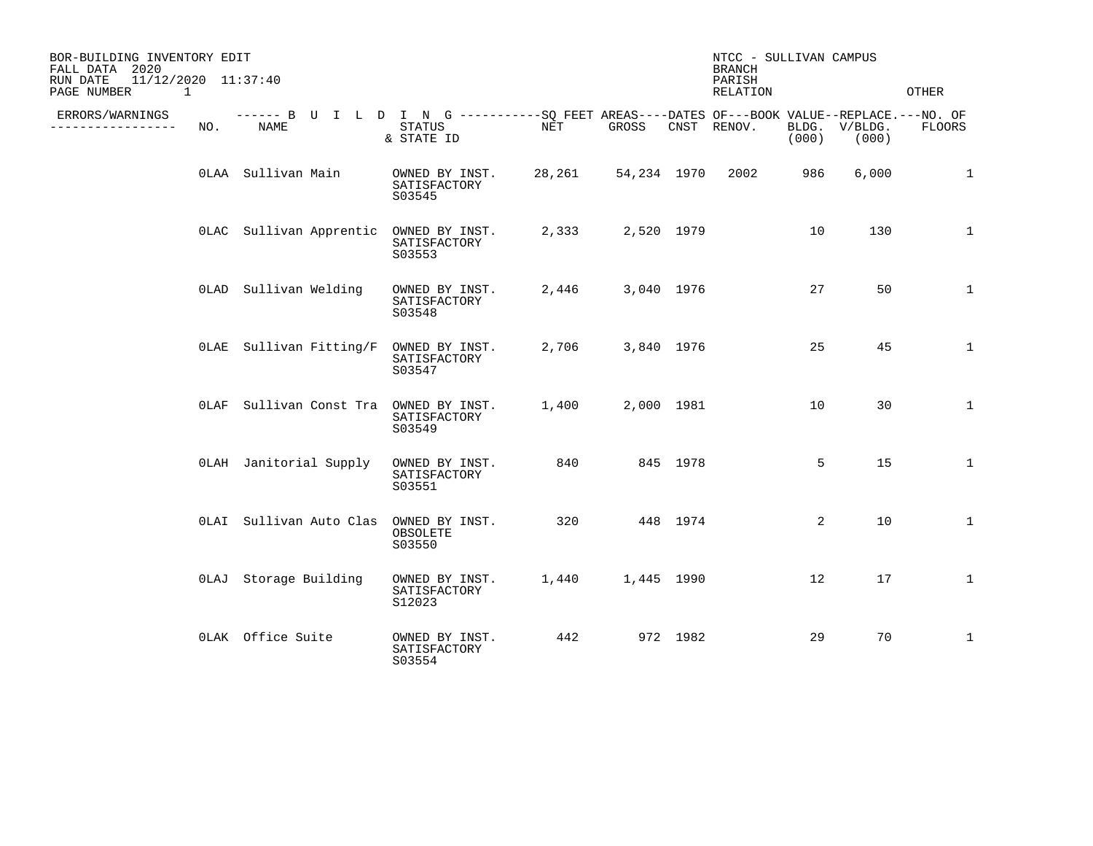| BOR-BUILDING INVENTORY EDIT<br>FALL DATA 2020<br>11/12/2020 11:37:40<br>RUN DATE<br>PAGE NUMBER<br>$\mathbf{1}$ |     |                                                                                                     |                                          |        |                  |            | NTCC - SULLIVAN CAMPUS<br><b>BRANCH</b><br>PARISH<br>RELATION |                |                        | OTHER        |
|-----------------------------------------------------------------------------------------------------------------|-----|-----------------------------------------------------------------------------------------------------|------------------------------------------|--------|------------------|------------|---------------------------------------------------------------|----------------|------------------------|--------------|
| ERRORS/WARNINGS<br>----------------                                                                             | NO. | ------ B U I L D I N G -----------SO FEET AREAS----DATES OF---BOOK VALUE--REPLACE.---NO. OF<br>NAME | <b>STATUS</b><br>& STATE ID              | NET    | GROSS            |            | CNST RENOV.                                                   | (000)          | BLDG. V/BLDG.<br>(000) | FLOORS       |
|                                                                                                                 |     | OLAA Sullivan Main                                                                                  | OWNED BY INST.<br>SATISFACTORY<br>S03545 | 28,261 |                  |            | 54,234 1970 2002                                              | 986            | 6,000                  | $\mathbf{1}$ |
|                                                                                                                 |     | OLAC Sullivan Apprentic OWNED BY INST.                                                              | SATISFACTORY<br>S03553                   | 2,333  |                  | 2,520 1979 |                                                               | 10             | 130                    | $\mathbf{1}$ |
|                                                                                                                 |     | OLAD Sullivan Welding                                                                               | OWNED BY INST.<br>SATISFACTORY<br>S03548 |        | 2,446 3,040 1976 |            |                                                               | 27             | 50                     | $\mathbf{1}$ |
|                                                                                                                 |     | OLAE Sullivan Fitting/F OWNED BY INST.                                                              | SATISFACTORY<br>S03547                   | 2,706  |                  | 3,840 1976 |                                                               | 25             | 45                     | $\mathbf{1}$ |
|                                                                                                                 |     | OLAF Sullivan Const Tra OWNED BY INST.                                                              | SATISFACTORY<br>S03549                   | 1,400  |                  | 2,000 1981 |                                                               | 10             | 30                     | $\mathbf{1}$ |
|                                                                                                                 |     | OLAH Janitorial Supply                                                                              | OWNED BY INST.<br>SATISFACTORY<br>S03551 | 840    |                  | 845 1978   |                                                               | 5              | 15                     | $\mathbf{1}$ |
|                                                                                                                 |     | OLAI Sullivan Auto Clas                                                                             | OWNED BY INST.<br>OBSOLETE<br>S03550     | 320    | 448 1974         |            |                                                               | $\overline{2}$ | 10                     | $\mathbf{1}$ |
|                                                                                                                 |     | OLAJ Storage Building                                                                               | OWNED BY INST.<br>SATISFACTORY<br>S12023 | 1,440  | 1,445 1990       |            |                                                               | 12             | 17                     | $\mathbf{1}$ |
|                                                                                                                 |     | OLAK Office Suite                                                                                   | OWNED BY INST.<br>SATISFACTORY<br>S03554 | 442    |                  | 972 1982   |                                                               | 29             | 70                     | $\mathbf{1}$ |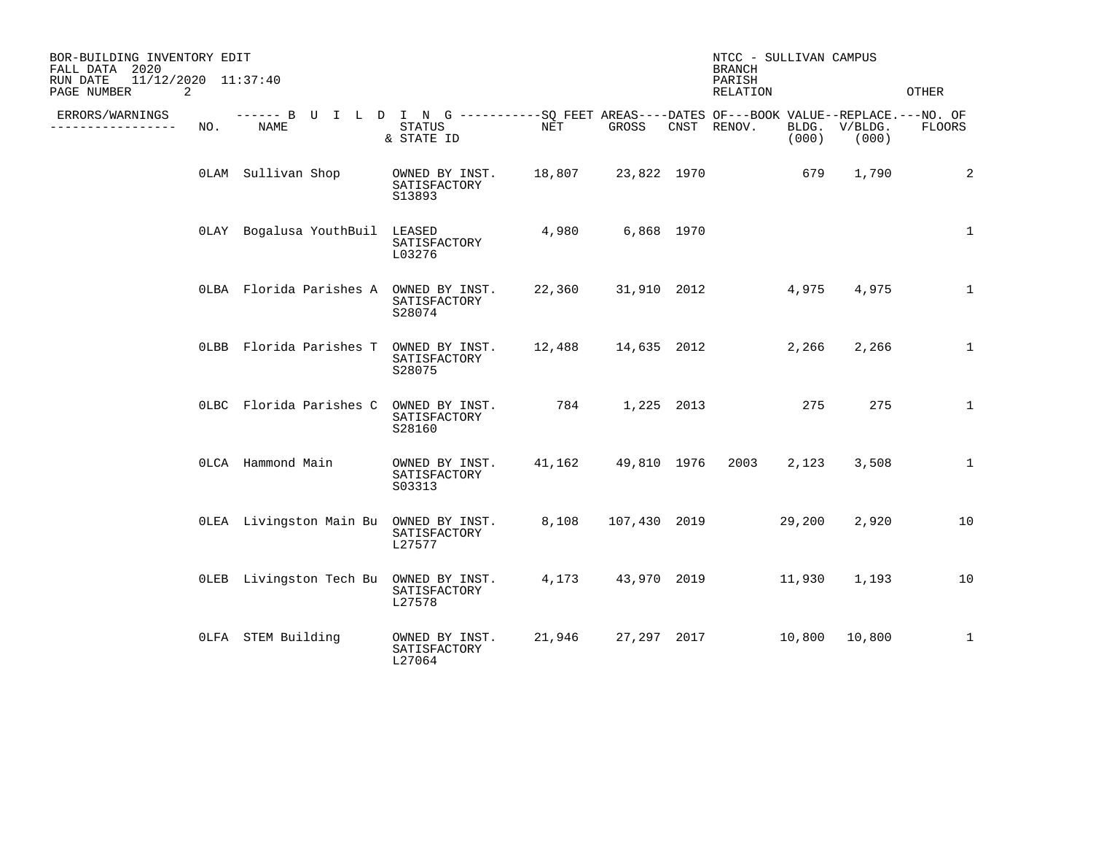| BOR-BUILDING INVENTORY EDIT<br>FALL DATA 2020<br>11/12/2020 11:37:40<br>RUN DATE<br>PAGE NUMBER<br>2 |     |                                                                                                     |                                          |                    |                |            | NTCC - SULLIVAN CAMPUS<br><b>BRANCH</b><br>PARISH<br>RELATION |        |                        | <b>OTHER</b> |
|------------------------------------------------------------------------------------------------------|-----|-----------------------------------------------------------------------------------------------------|------------------------------------------|--------------------|----------------|------------|---------------------------------------------------------------|--------|------------------------|--------------|
| ERRORS/WARNINGS<br>----------------                                                                  | NO. | ------ B U I L D I N G -----------SQ FEET AREAS----DATES OF---BOOK VALUE--REPLACE.---NO. OF<br>NAME | STATUS<br>& STATE ID                     | NET                | GROSS          |            | CNST RENOV.                                                   | (000)  | BLDG. V/BLDG.<br>(000) | FLOORS       |
|                                                                                                      |     | OLAM Sullivan Shop                                                                                  | OWNED BY INST.<br>SATISFACTORY<br>S13893 |                    |                |            |                                                               | 679    | 1,790                  | 2            |
|                                                                                                      |     | OLAY Bogalusa YouthBuil LEASED                                                                      | SATISFACTORY<br>L03276                   | 4,980              |                | 6,868 1970 |                                                               |        |                        | $\mathbf{1}$ |
|                                                                                                      |     | OLBA Florida Parishes A OWNED BY INST.                                                              | SATISFACTORY<br>S28074                   |                    |                |            | 22,360 31,910 2012                                            | 4,975  | 4,975                  | $\mathbf{1}$ |
|                                                                                                      |     | OLBB Florida Parishes T OWNED BY INST.                                                              | SATISFACTORY<br>S28075                   |                    |                |            | 12,488  14,635  2012                                          | 2,266  | 2,266                  | $\mathbf{1}$ |
|                                                                                                      |     | OLBC Florida Parishes C OWNED BY INST.                                                              | SATISFACTORY<br>S28160                   |                    | 784 1,225 2013 |            |                                                               | 275    | 275                    | $\mathbf{1}$ |
|                                                                                                      |     | OLCA Hammond Main                                                                                   | OWNED BY INST.<br>SATISFACTORY<br>S03313 | 41,162 49,810 1976 |                |            | 2003                                                          | 2,123  | 3,508                  | $\mathbf{1}$ |
|                                                                                                      |     | OLEA Livingston Main Bu OWNED BY INST.                                                              | SATISFACTORY<br>L27577                   |                    |                |            | 8,108 107,430 2019                                            | 29,200 | 2,920                  | 10           |
|                                                                                                      |     | OLEB Livingston Tech Bu OWNED BY INST.                                                              | SATISFACTORY<br>L27578                   | 4,173              |                |            | 43,970 2019 11,930                                            |        | 1,193                  | 10           |
|                                                                                                      |     | OLFA STEM Building                                                                                  | OWNED BY INST.<br>SATISFACTORY<br>L27064 | 21,946             | 27,297 2017    |            | $10,800$ $10,800$                                             |        |                        | $\mathbf{1}$ |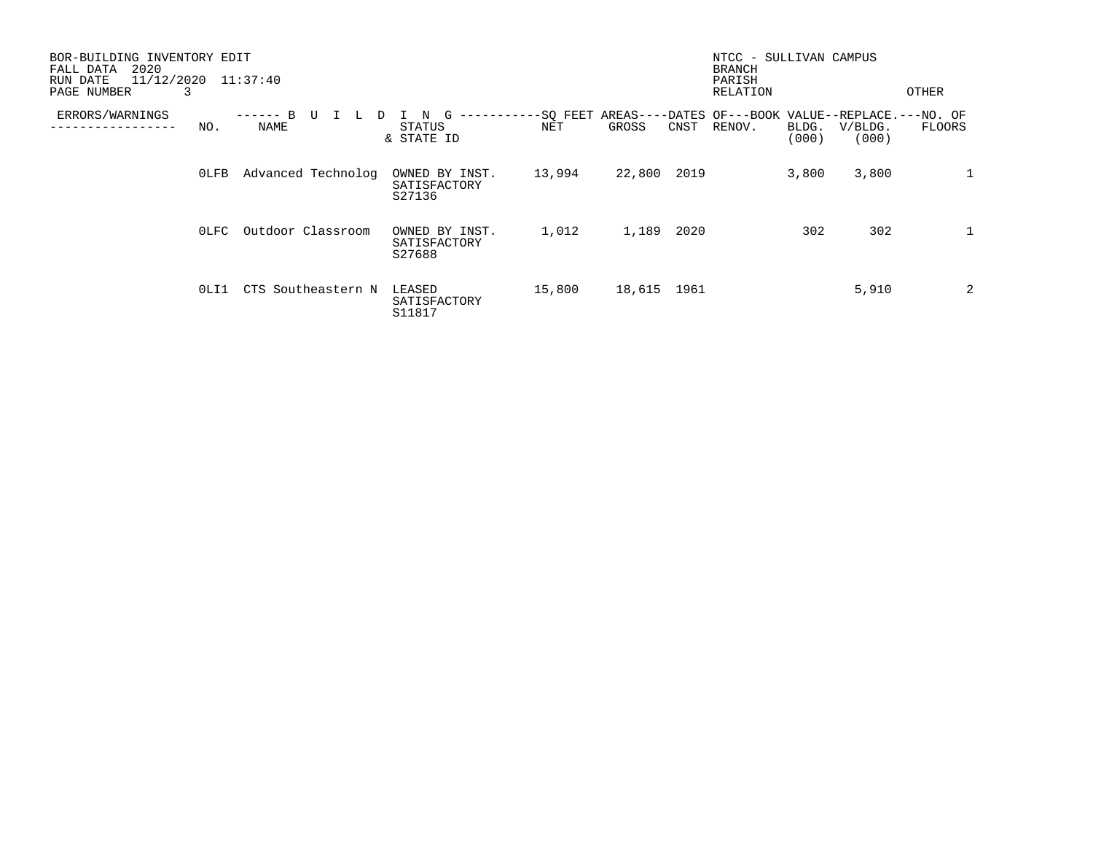| BOR-BUILDING INVENTORY EDIT<br>2020<br>FALL DATA<br>11/12/2020<br>RUN DATE<br>PAGE NUMBER<br>3 |      | 11:37:40           |                                          |                 |        |      | NTCC - SULLIVAN CAMPUS<br><b>BRANCH</b><br>PARISH<br>RELATION |                |                  | OTHER  |
|------------------------------------------------------------------------------------------------|------|--------------------|------------------------------------------|-----------------|--------|------|---------------------------------------------------------------|----------------|------------------|--------|
| ERRORS/WARNINGS                                                                                | NO.  | B<br>NAME          | G<br>N<br>STATUS<br>& STATE ID           | -SQ FEET<br>NET | GROSS  | CNST | AREAS----DATES OF---BOOK VALUE--REPLACE.---NO. OF<br>RENOV.   | BLDG.<br>(000) | V/BLDG.<br>(000) | FLOORS |
|                                                                                                | OLFB | Advanced Technolog | OWNED BY INST.<br>SATISFACTORY<br>S27136 | 13,994          | 22,800 | 2019 |                                                               | 3,800          | 3,800            | 1      |
|                                                                                                | OLFC | Outdoor Classroom  | OWNED BY INST.<br>SATISFACTORY<br>S27688 | 1,012           | 1,189  | 2020 |                                                               | 302            | 302              | 1      |
|                                                                                                | OLI1 | CTS Southeastern N | LEASED<br>SATISFACTORY<br>S11817         | 15,800          | 18,615 | 1961 |                                                               |                | 5,910            | 2      |